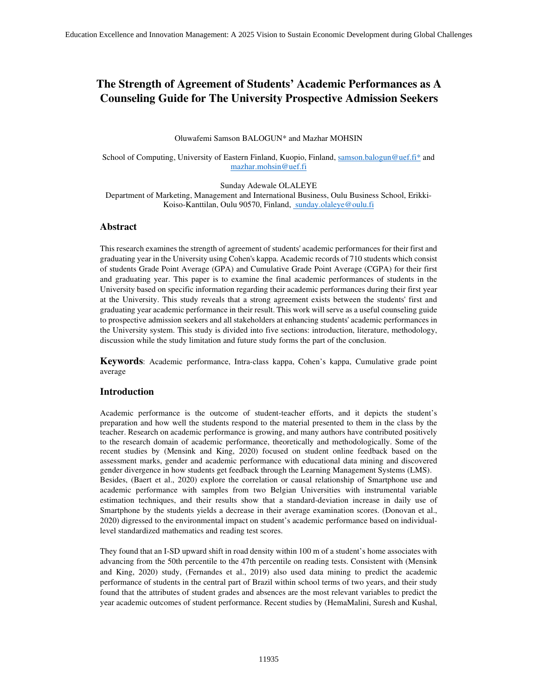# **The Strength of Agreement of Students' Academic Performances as A Counseling Guide for The University Prospective Admission Seekers**

Oluwafemi Samson BALOGUN\* and Mazhar MOHSIN

#### School of Computing, University of Eastern Finland, Kuopio, Finland, samson.balogun@uef.fi\* and mazhar.mohsin@uef.fi

Sunday Adewale OLALEYE Department of Marketing, Management and International Business, Oulu Business School, Erikki-Koiso-Kanttilan, Oulu 90570, Finland, sunday.olaleye@oulu.fi

# **Abstract**

This research examines the strength of agreement of students' academic performances for their first and graduating year in the University using Cohen's kappa. Academic records of 710 students which consist of students Grade Point Average (GPA) and Cumulative Grade Point Average (CGPA) for their first and graduating year. This paper is to examine the final academic performances of students in the University based on specific information regarding their academic performances during their first year at the University. This study reveals that a strong agreement exists between the students' first and graduating year academic performance in their result. This work will serve as a useful counseling guide to prospective admission seekers and all stakeholders at enhancing students' academic performances in the University system. This study is divided into five sections: introduction, literature, methodology, discussion while the study limitation and future study forms the part of the conclusion.

**Keywords**: Academic performance, Intra-class kappa, Cohen's kappa, Cumulative grade point average

## **Introduction**

Academic performance is the outcome of student-teacher efforts, and it depicts the student's preparation and how well the students respond to the material presented to them in the class by the teacher. Research on academic performance is growing, and many authors have contributed positively to the research domain of academic performance, theoretically and methodologically. Some of the recent studies by (Mensink and King, 2020) focused on student online feedback based on the assessment marks, gender and academic performance with educational data mining and discovered gender divergence in how students get feedback through the Learning Management Systems (LMS). Besides, (Baert et al., 2020) explore the correlation or causal relationship of Smartphone use and academic performance with samples from two Belgian Universities with instrumental variable estimation techniques, and their results show that a standard-deviation increase in daily use of Smartphone by the students yields a decrease in their average examination scores. (Donovan et al., 2020) digressed to the environmental impact on student's academic performance based on individuallevel standardized mathematics and reading test scores.

They found that an I-SD upward shift in road density within 100 m of a student's home associates with advancing from the 50th percentile to the 47th percentile on reading tests. Consistent with (Mensink and King, 2020) study, (Fernandes et al., 2019) also used data mining to predict the academic performance of students in the central part of Brazil within school terms of two years, and their study found that the attributes of student grades and absences are the most relevant variables to predict the year academic outcomes of student performance. Recent studies by (HemaMalini, Suresh and Kushal,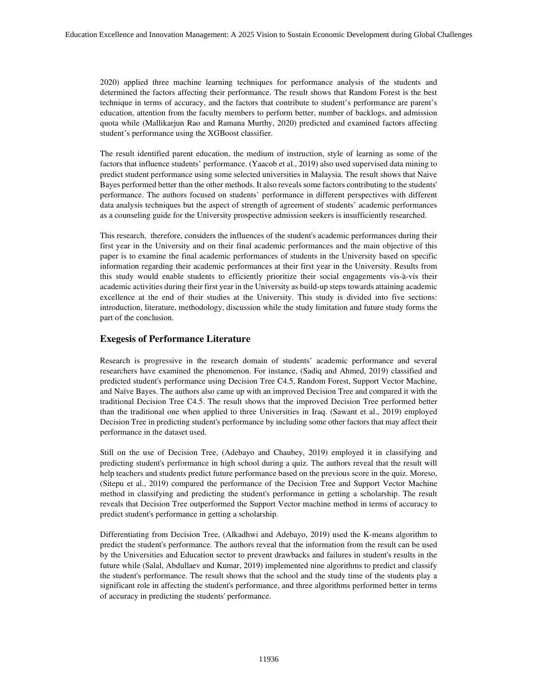2020) applied three machine learning techniques for performance analysis of the students and determined the factors affecting their performance. The result shows that Random Forest is the best technique in terms of accuracy, and the factors that contribute to student's performance are parent's education, attention from the faculty members to perform better, number of backlogs, and admission quota while (Mallikarjun Rao and Ramana Murthy, 2020) predicted and examined factors affecting student's performance using the XGBoost classifier.

The result identified parent education, the medium of instruction, style of learning as some of the factors that influence students' performance. (Yaacob et al., 2019) also used supervised data mining to predict student performance using some selected universities in Malaysia. The result shows that Naive Bayes performed better than the other methods. It also reveals some factors contributing to the students' performance. The authors focused on students' performance in different perspectives with different data analysis techniques but the aspect of strength of agreement of students' academic performances as a counseling guide for the University prospective admission seekers is insufficiently researched.

This research, therefore, considers the influences of the student's academic performances during their first year in the University and on their final academic performances and the main objective of this paper is to examine the final academic performances of students in the University based on specific information regarding their academic performances at their first year in the University. Results from this study would enable students to efficiently prioritize their social engagements vis-à-vis their academic activities during their first year in the University as build-up steps towards attaining academic excellence at the end of their studies at the University. This study is divided into five sections: introduction, literature, methodology, discussion while the study limitation and future study forms the part of the conclusion.

# **Exegesis of Performance Literature**

Research is progressive in the research domain of students' academic performance and several researchers have examined the phenomenon. For instance, (Sadiq and Ahmed, 2019) classified and predicted student's performance using Decision Tree C4.5, Random Forest, Support Vector Machine, and Naïve Bayes. The authors also came up with an improved Decision Tree and compared it with the traditional Decision Tree C4.5. The result shows that the improved Decision Tree performed better than the traditional one when applied to three Universities in Iraq. (Sawant et al., 2019) employed Decision Tree in predicting student's performance by including some other factors that may affect their performance in the dataset used.

Still on the use of Decision Tree, (Adebayo and Chaubey, 2019) employed it in classifying and predicting student's performance in high school during a quiz. The authors reveal that the result will help teachers and students predict future performance based on the previous score in the quiz. Moreso, (Sitepu et al., 2019) compared the performance of the Decision Tree and Support Vector Machine method in classifying and predicting the student's performance in getting a scholarship. The result reveals that Decision Tree outperformed the Support Vector machine method in terms of accuracy to predict student's performance in getting a scholarship.

Differentiating from Decision Tree, (Alkadhwi and Adebayo, 2019) used the K-means algorithm to predict the student's performance. The authors reveal that the information from the result can be used by the Universities and Education sector to prevent drawbacks and failures in student's results in the future while (Salal, Abdullaev and Kumar, 2019) implemented nine algorithms to predict and classify the student's performance. The result shows that the school and the study time of the students play a significant role in affecting the student's performance, and three algorithms performed better in terms of accuracy in predicting the students' performance.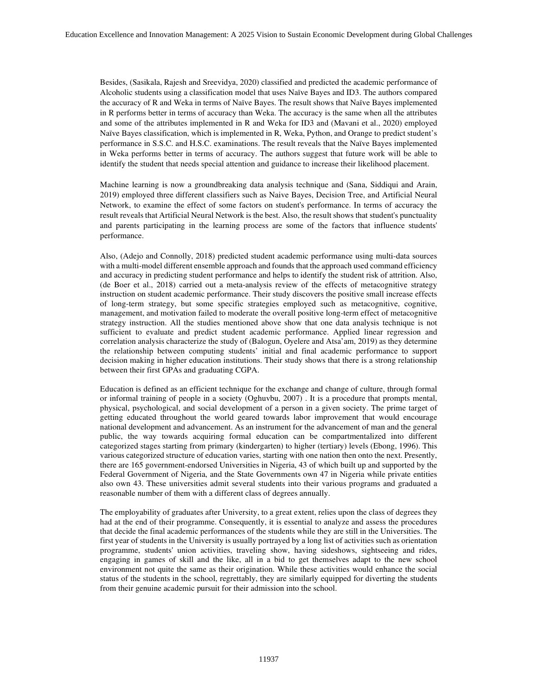Besides, (Sasikala, Rajesh and Sreevidya, 2020) classified and predicted the academic performance of Alcoholic students using a classification model that uses Naïve Bayes and ID3. The authors compared the accuracy of R and Weka in terms of Naïve Bayes. The result shows that Naïve Bayes implemented in R performs better in terms of accuracy than Weka. The accuracy is the same when all the attributes and some of the attributes implemented in R and Weka for ID3 and (Mavani et al., 2020) employed Naïve Bayes classification, which is implemented in R, Weka, Python, and Orange to predict student's performance in S.S.C. and H.S.C. examinations. The result reveals that the Naïve Bayes implemented in Weka performs better in terms of accuracy. The authors suggest that future work will be able to identify the student that needs special attention and guidance to increase their likelihood placement.

Machine learning is now a groundbreaking data analysis technique and (Sana, Siddiqui and Arain, 2019) employed three different classifiers such as Naive Bayes, Decision Tree, and Artificial Neural Network, to examine the effect of some factors on student's performance. In terms of accuracy the result reveals that Artificial Neural Network is the best. Also, the result shows that student's punctuality and parents participating in the learning process are some of the factors that influence students' performance.

Also, (Adejo and Connolly, 2018) predicted student academic performance using multi-data sources with a multi-model different ensemble approach and founds that the approach used command efficiency and accuracy in predicting student performance and helps to identify the student risk of attrition. Also, (de Boer et al., 2018) carried out a meta-analysis review of the effects of metacognitive strategy instruction on student academic performance. Their study discovers the positive small increase effects of long-term strategy, but some specific strategies employed such as metacognitive, cognitive, management, and motivation failed to moderate the overall positive long-term effect of metacognitive strategy instruction. All the studies mentioned above show that one data analysis technique is not sufficient to evaluate and predict student academic performance. Applied linear regression and correlation analysis characterize the study of (Balogun, Oyelere and Atsa'am, 2019) as they determine the relationship between computing students' initial and final academic performance to support decision making in higher education institutions. Their study shows that there is a strong relationship between their first GPAs and graduating CGPA.

Education is defined as an efficient technique for the exchange and change of culture, through formal or informal training of people in a society (Oghuvbu, 2007) . It is a procedure that prompts mental, physical, psychological, and social development of a person in a given society. The prime target of getting educated throughout the world geared towards labor improvement that would encourage national development and advancement. As an instrument for the advancement of man and the general public, the way towards acquiring formal education can be compartmentalized into different categorized stages starting from primary (kindergarten) to higher (tertiary) levels (Ebong, 1996). This various categorized structure of education varies, starting with one nation then onto the next. Presently, there are 165 government-endorsed Universities in Nigeria, 43 of which built up and supported by the Federal Government of Nigeria, and the State Governments own 47 in Nigeria while private entities also own 43. These universities admit several students into their various programs and graduated a reasonable number of them with a different class of degrees annually.

The employability of graduates after University, to a great extent, relies upon the class of degrees they had at the end of their programme. Consequently, it is essential to analyze and assess the procedures that decide the final academic performances of the students while they are still in the Universities. The first year of students in the University is usually portrayed by a long list of activities such as orientation programme, students' union activities, traveling show, having sideshows, sightseeing and rides, engaging in games of skill and the like, all in a bid to get themselves adapt to the new school environment not quite the same as their origination. While these activities would enhance the social status of the students in the school, regrettably, they are similarly equipped for diverting the students from their genuine academic pursuit for their admission into the school.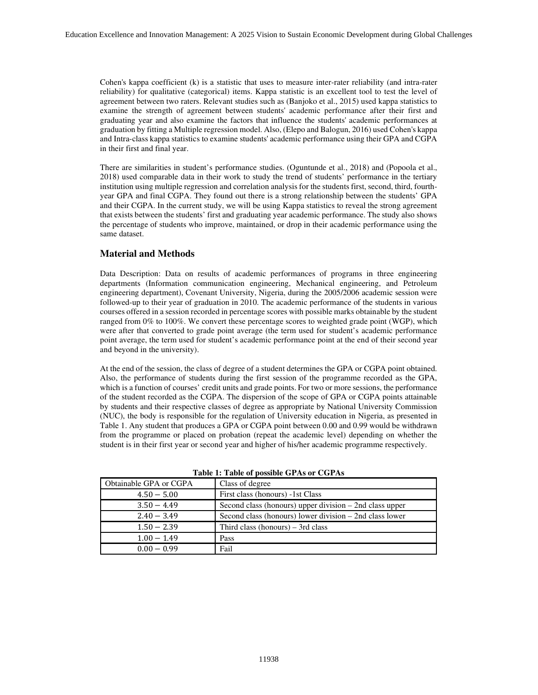Cohen's kappa coefficient (k) is a statistic that uses to measure inter-rater reliability (and intra-rater reliability) for qualitative (categorical) items. Kappa statistic is an excellent tool to test the level of agreement between two raters. Relevant studies such as (Banjoko et al., 2015) used kappa statistics to examine the strength of agreement between students' academic performance after their first and graduating year and also examine the factors that influence the students' academic performances at graduation by fitting a Multiple regression model. Also, (Elepo and Balogun, 2016) used Cohen's kappa and Intra-class kappa statistics to examine students' academic performance using their GPA and CGPA in their first and final year.

There are similarities in student's performance studies. (Oguntunde et al., 2018) and (Popoola et al., 2018) used comparable data in their work to study the trend of students' performance in the tertiary institution using multiple regression and correlation analysis for the students first, second, third, fourthyear GPA and final CGPA. They found out there is a strong relationship between the students' GPA and their CGPA. In the current study, we will be using Kappa statistics to reveal the strong agreement that exists between the students' first and graduating year academic performance. The study also shows the percentage of students who improve, maintained, or drop in their academic performance using the same dataset.

# **Material and Methods**

Data Description: Data on results of academic performances of programs in three engineering departments (Information communication engineering, Mechanical engineering, and Petroleum engineering department), Covenant University, Nigeria, during the 2005/2006 academic session were followed-up to their year of graduation in 2010. The academic performance of the students in various courses offered in a session recorded in percentage scores with possible marks obtainable by the student ranged from 0% to 100%. We convert these percentage scores to weighted grade point (WGP), which were after that converted to grade point average (the term used for student's academic performance point average, the term used for student's academic performance point at the end of their second year and beyond in the university).

At the end of the session, the class of degree of a student determines the GPA or CGPA point obtained. Also, the performance of students during the first session of the programme recorded as the GPA, which is a function of courses' credit units and grade points. For two or more sessions, the performance of the student recorded as the CGPA. The dispersion of the scope of GPA or CGPA points attainable by students and their respective classes of degree as appropriate by National University Commission (NUC), the body is responsible for the regulation of University education in Nigeria, as presented in Table 1. Any student that produces a GPA or CGPA point between 0.00 and 0.99 would be withdrawn from the programme or placed on probation (repeat the academic level) depending on whether the student is in their first year or second year and higher of his/her academic programme respectively.

| Obtainable GPA or CGPA | Class of degree                                           |
|------------------------|-----------------------------------------------------------|
| $4.50 - 5.00$          | First class (honours) -1st Class                          |
| $3.50 - 4.49$          | Second class (honours) upper division $-$ 2nd class upper |
| $2.40 - 3.49$          | Second class (honours) lower division – 2nd class lower   |
| $1.50 - 2.39$          | Third class (honours) $-$ 3rd class                       |
| $1.00 - 1.49$          | Pass                                                      |
| $0.00 - 0.99$          | Fail                                                      |

|  |  | Table 1: Table of possible GPAs or CGPAs |  |  |
|--|--|------------------------------------------|--|--|
|--|--|------------------------------------------|--|--|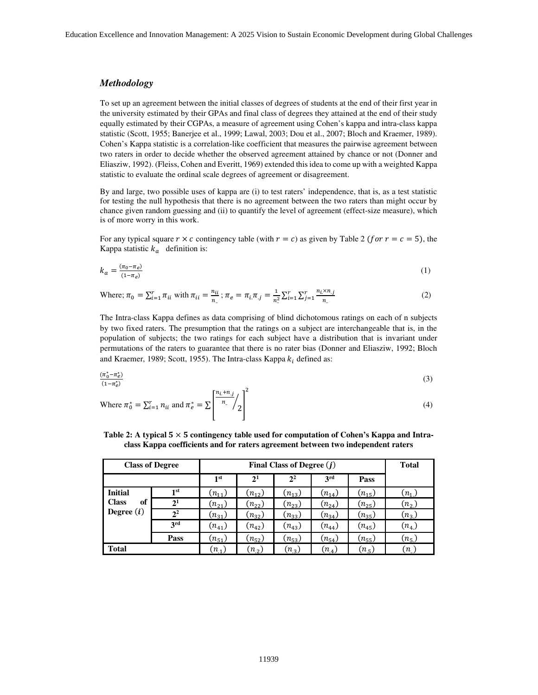## *Methodology*

To set up an agreement between the initial classes of degrees of students at the end of their first year in the university estimated by their GPAs and final class of degrees they attained at the end of their study equally estimated by their CGPAs, a measure of agreement using Cohen's kappa and intra-class kappa statistic (Scott, 1955; Banerjee et al., 1999; Lawal, 2003; Dou et al., 2007; Bloch and Kraemer, 1989). Cohen's Kappa statistic is a correlation-like coefficient that measures the pairwise agreement between two raters in order to decide whether the observed agreement attained by chance or not (Donner and Eliasziw, 1992). (Fleiss, Cohen and Everitt, 1969) extended this idea to come up with a weighted Kappa statistic to evaluate the ordinal scale degrees of agreement or disagreement.

By and large, two possible uses of kappa are (i) to test raters' independence, that is, as a test statistic for testing the null hypothesis that there is no agreement between the two raters than might occur by chance given random guessing and (ii) to quantify the level of agreement (effect-size measure), which is of more worry in this work.

For any typical square  $r \times c$  contingency table (with  $r = c$ ) as given by Table 2 (for  $r = c = 5$ ), the Kappa statistic  $k_a$  definition is:

$$
k_a = \frac{(\pi_0 - \pi_e)}{(1 - \pi_e)}\tag{1}
$$

Where; 
$$
\pi_0 = \sum_{i=1}^r \pi_{ii}
$$
 with  $\pi_{ii} = \frac{n_{ii}}{n_a}$ ;  $\pi_e = \pi_i \pi_j = \frac{1}{n_a^2} \sum_{i=1}^r \sum_{j=1}^r \frac{n_i \times n_j}{n_a}$  (2)

The Intra-class Kappa defines as data comprising of blind dichotomous ratings on each of n subjects by two fixed raters. The presumption that the ratings on a subject are interchangeable that is, in the population of subjects; the two ratings for each subject have a distribution that is invariant under permutations of the raters to guarantee that there is no rater bias (Donner and Eliasziw, 1992; Bloch and Kraemer, 1989; Scott, 1955). The Intra-class Kappa  $k_i$  defined as:

$$
\frac{(\pi_0^* - \pi_e^*)}{(1 - \pi_e^*)} \tag{3}
$$

Where 
$$
\pi_0^* = \sum_{i=1}^r n_{ii}
$$
 and  $\pi_e^* = \sum \left[ \frac{n_i + n_j}{n} \middle/ \frac{1}{2} \right]^2$  (4)

| Table 2: A typical $5 \times 5$ contingency table used for computation of Cohen's Kappa and Intra- |  |
|----------------------------------------------------------------------------------------------------|--|
| class Kappa coefficients and for raters agreement between two independent raters                   |  |

|                    | <b>Class of Degree</b> | Final Class of Degree $(i)$ |                |                |            |            | <b>Total</b> |
|--------------------|------------------------|-----------------------------|----------------|----------------|------------|------------|--------------|
|                    |                        | 1 <sup>st</sup>             | 2 <sup>1</sup> | 2 <sup>2</sup> | 3rd        | Pass       |              |
| <b>Initial</b>     | 1 <sup>st</sup>        | $(n_{11})$                  | $(n_{12})$     | $(n_{13})$     | $(n_{14})$ | $(n_{15})$ | $(n_{1})$    |
| <b>Class</b><br>of | $2^{1}$                | $(n_{21})$                  | $(n_{22})$     | $(n_{23})$     | $(n_{24})$ | $(n_{25})$ | $(n_{2})$    |
| Degree $(i)$       | 2 <sup>2</sup>         | $(n_{31})$                  | $(n_{32})$     | $(n_{33})$     | $(n_{34})$ | $(n_{35})$ | $(n_3)$      |
|                    | 3rd                    | $(n_{41})$                  | $(n_{42})$     | $(n_{43})$     | $(n_{44})$ | $(n_{45})$ | $(n_4)$      |
|                    | Pass                   | $(n_{51})$                  | $(n_{52})$     | $(n_{53})$     | $(n_{54})$ | $(n_{55})$ | $(n_{5})$    |
| <b>Total</b>       |                        | $(n_{.1})$                  | $(n_2)$        | $(n_{3})$      | $(n_4)$    | $(n_{.5})$ | (n)          |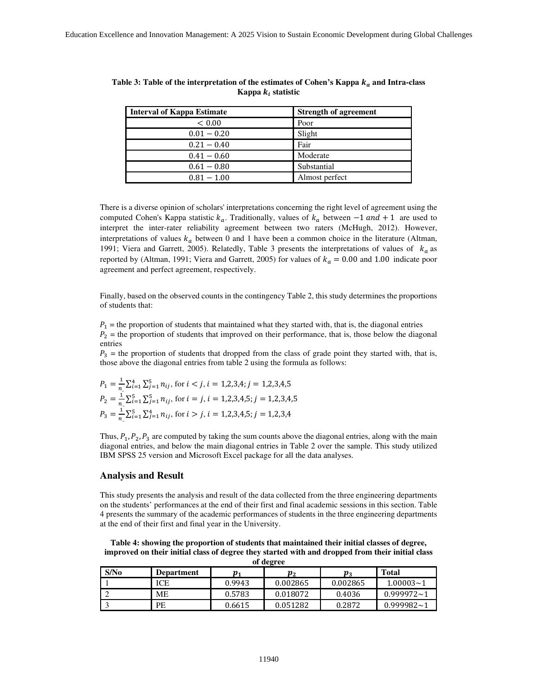| Interval of Kappa Estimate | <b>Strength of agreement</b> |
|----------------------------|------------------------------|
| < 0.00                     | Poor                         |
| $0.01 - 0.20$              | Slight                       |
| $0.21 - 0.40$              | Fair                         |
| $0.41 - 0.60$              | Moderate                     |
| $0.61 - 0.80$              | Substantial                  |
| $0.81 - 1.00$              | Almost perfect               |

Table 3: Table of the interpretation of the estimates of Cohen's Kappa  $k_a$  and Intra-class Kappa  $k_i$  statistic

There is a diverse opinion of scholars' interpretations concerning the right level of agreement using the computed Cohen's Kappa statistic  $k_a$ . Traditionally, values of  $k_a$  between  $-1$  and  $+1$  are used to interpret the inter-rater reliability agreement between two raters (McHugh, 2012). However, interpretations of values  $k_a$  between 0 and 1 have been a common choice in the literature (Altman, 1991; Viera and Garrett, 2005). Relatedly, Table 3 presents the interpretations of values of  $k_a$  as reported by (Altman, 1991; Viera and Garrett, 2005) for values of  $k_a = 0.00$  and 1.00 indicate poor agreement and perfect agreement, respectively.

Finally, based on the observed counts in the contingency Table 2, this study determines the proportions of students that:

 $P_1$  = the proportion of students that maintained what they started with, that is, the diagonal entries  $P_2$  = the proportion of students that improved on their performance, that is, those below the diagonal entries

 $P_3$  = the proportion of students that dropped from the class of grade point they started with, that is, those above the diagonal entries from table 2 using the formula as follows:

$$
P_1 = \frac{1}{n_1} \sum_{i=1}^{4} \sum_{j=1}^{5} n_{ij}, \text{ for } i < j, i = 1, 2, 3, 4; j = 1, 2, 3, 4, 5
$$
  
\n
$$
P_2 = \frac{1}{n_1} \sum_{i=1}^{5} \sum_{j=1}^{5} n_{ij}, \text{ for } i = j, i = 1, 2, 3, 4, 5; j = 1, 2, 3, 4, 5
$$
  
\n
$$
P_3 = \frac{1}{n_1} \sum_{i=1}^{5} \sum_{j=1}^{4} n_{ij}, \text{ for } i > j, i = 1, 2, 3, 4, 5; j = 1, 2, 3, 4
$$

Thus,  $P_1$ ,  $P_2$ ,  $P_3$  are computed by taking the sum counts above the diagonal entries, along with the main diagonal entries, and below the main diagonal entries in Table 2 over the sample. This study utilized IBM SPSS 25 version and Microsoft Excel package for all the data analyses.

#### **Analysis and Result**

This study presents the analysis and result of the data collected from the three engineering departments on the students' performances at the end of their first and final academic sessions in this section. Table 4 presents the summary of the academic performances of students in the three engineering departments at the end of their first and final year in the University.

**Table 4: showing the proportion of students that maintained their initial classes of degree, improved on their initial class of degree they started with and dropped from their initial class of degree** 

| S/N <sub>0</sub> | Department | $\boldsymbol{p}_1$ | $\boldsymbol{p}_2$ | $\boldsymbol{p}_3$ | <b>Total</b>   |  |  |  |  |  |  |
|------------------|------------|--------------------|--------------------|--------------------|----------------|--|--|--|--|--|--|
|                  | ICE        | 0.9943             | 0.002865           | 0.002865           | $1.00003 - 1$  |  |  |  |  |  |  |
|                  | MЕ         | 0.5783             | 0.018072           | 0.4036             | $0.999972 - 1$ |  |  |  |  |  |  |
|                  | PE         | 0.6615             | 0.051282           | 0.2872             | $0.999982 - 1$ |  |  |  |  |  |  |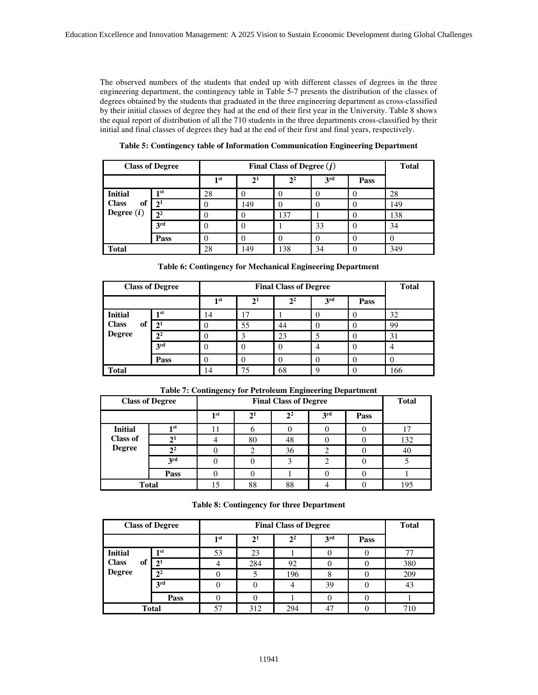The observed numbers of the students that ended up with different classes of degrees in the three engineering department, the contingency table in Table 5-7 presents the distribution of the classes of degrees obtained by the students that graduated in the three engineering department as cross-classified by their initial classes of degree they had at the end of their first year in the University. Table 8 shows the equal report of distribution of all the 710 students in the three departments cross-classified by their initial and final classes of degrees they had at the end of their first and final years, respectively.

**Table 5: Contingency table of Information Communication Engineering Department** 

|                    | <b>Class of Degree</b> | Final Class of Degree $(j)$ |          |                |                 |                  | <b>Total</b> |
|--------------------|------------------------|-----------------------------|----------|----------------|-----------------|------------------|--------------|
|                    |                        | 1 st                        | $2^{1}$  | 2 <sup>2</sup> | 3 <sup>rd</sup> | Pass             |              |
| <b>Initial</b>     | 1 <sub>st</sub>        | 28                          |          |                |                 |                  | 28           |
| <b>Class</b><br>of | $2^{1}$                |                             | 149      |                |                 | $\left( \right)$ | 149          |
| Degree $(i)$       | 2 <sup>2</sup>         |                             | $\theta$ | 137            |                 | $\theta$         | 138          |
|                    | 3 <sup>rd</sup>        |                             | $\theta$ |                | 33              | $\left($         | 34           |
|                    | Pass                   |                             |          |                |                 | $\theta$         |              |
| <b>Total</b>       |                        | 28                          | 149      | 138            | 34              |                  | 349          |

|                    | <b>Class of Degree</b> |                 | <b>Total</b> |                |                 |      |     |
|--------------------|------------------------|-----------------|--------------|----------------|-----------------|------|-----|
|                    |                        | 1 <sup>st</sup> | $2^{1}$      | 2 <sup>2</sup> | 3 <sup>rd</sup> | Pass |     |
| <b>Initial</b>     | 1 <sub>st</sub>        | 14              | 17           |                |                 |      | 32  |
| <b>Class</b><br>of | $2^{1}$                |                 | 55           | 44             |                 |      | 99  |
| <b>Degree</b>      | 2 <sup>2</sup>         |                 |              | 23             |                 |      | 31  |
|                    | 3rd                    | 0               |              | $\theta$       | 4               |      | 4   |
|                    | Pass                   |                 |              | 0              | 0               |      |     |
| <b>Total</b>       |                        | 14              | 75           | 68             | q               |      | 166 |

**Table 6: Contingency for Mechanical Engineering Department** 

| <b>Class of Degree</b> |                 | <b>Final Class of Degree</b> |                |                |                 |      | <b>Total</b> |
|------------------------|-----------------|------------------------------|----------------|----------------|-----------------|------|--------------|
|                        |                 | 1 <sup>st</sup>              | 2 <sup>1</sup> | 2 <sup>2</sup> | 3 <sup>rd</sup> | Pass |              |
| <b>Initial</b>         | 1st             |                              |                |                |                 |      |              |
| <b>Class of</b>        | 2 <sup>1</sup>  |                              | 80             | 48             |                 |      | 132          |
| <b>Degree</b>          | 2 <sup>2</sup>  |                              | 2              | 36             |                 |      | 40           |
|                        | 3 <sup>rd</sup> |                              |                | 3              |                 |      |              |
|                        | Pass            |                              |                |                |                 |      |              |
| <b>Total</b>           |                 | 15                           | 88             | 88             |                 |      | 195          |

**Table 7: Contingency for Petroleum Engineering Department** 

**Table 8: Contingency for three Department** 

|                                     | <b>Class of Degree</b> | <b>Final Class of Degree</b> |                |                |                 |      | <b>Total</b> |
|-------------------------------------|------------------------|------------------------------|----------------|----------------|-----------------|------|--------------|
|                                     |                        | 1 <sup>st</sup>              | 2 <sup>1</sup> | 2 <sup>2</sup> | 3 <sup>rd</sup> | Pass |              |
| <b>Initial</b>                      | 1 <sub>st</sub>        | 53                           | 23             |                |                 |      |              |
| <b>Class</b><br>of<br><b>Degree</b> | 2 <sup>1</sup>         |                              | 284            | 92             |                 |      | 380          |
|                                     | 2 <sup>2</sup>         |                              |                | 196            |                 |      | 209          |
|                                     | 3 <sup>rd</sup>        |                              | $\theta$       | 4              | 39              |      | 43           |
|                                     | Pass                   |                              | 0              |                |                 |      |              |
|                                     | <b>Total</b>           | 57                           | 312            | 294            |                 |      | 710          |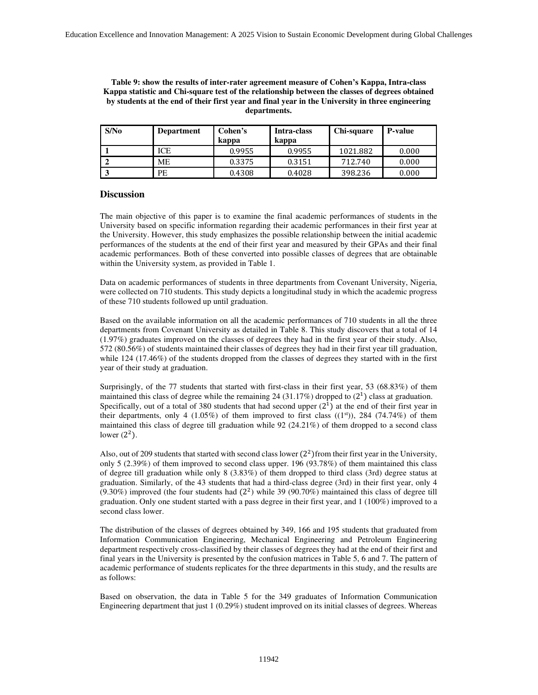#### **Table 9: show the results of inter-rater agreement measure of Cohen's Kappa, Intra-class Kappa statistic and Chi-square test of the relationship between the classes of degrees obtained by students at the end of their first year and final year in the University in three engineering departments.**

| S/N <sub>0</sub> | <b>Department</b> | Cohen's<br>kappa | Intra-class<br>kappa | Chi-square | <b>P-value</b> |
|------------------|-------------------|------------------|----------------------|------------|----------------|
|                  | ICE               | 0.9955           | 0.9955               | 1021.882   | 0.000          |
|                  | <b>ME</b>         | 0.3375           | 0.3151               | 712.740    | 0.000          |
|                  | PЕ                | 0.4308           | 0.4028               | 398.236    | 0.000          |

#### **Discussion**

The main objective of this paper is to examine the final academic performances of students in the University based on specific information regarding their academic performances in their first year at the University. However, this study emphasizes the possible relationship between the initial academic performances of the students at the end of their first year and measured by their GPAs and their final academic performances. Both of these converted into possible classes of degrees that are obtainable within the University system, as provided in Table 1.

Data on academic performances of students in three departments from Covenant University, Nigeria, were collected on 710 students. This study depicts a longitudinal study in which the academic progress of these 710 students followed up until graduation.

Based on the available information on all the academic performances of 710 students in all the three departments from Covenant University as detailed in Table 8. This study discovers that a total of 14 (1.97%) graduates improved on the classes of degrees they had in the first year of their study. Also, 572 (80.56%) of students maintained their classes of degrees they had in their first year till graduation, while 124 (17.46%) of the students dropped from the classes of degrees they started with in the first year of their study at graduation.

Surprisingly, of the 77 students that started with first-class in their first year, 53 (68.83%) of them maintained this class of degree while the remaining 24 (31.17%) dropped to  $(2^1)$  class at graduation. Specifically, out of a total of 380 students that had second upper  $(2^1)$  at the end of their first year in their departments, only 4 (1.05%) of them improved to first class  $((1<sup>st</sup>))$ , 284 (74.74%) of them maintained this class of degree till graduation while 92 (24.21%) of them dropped to a second class lower  $(2^2)$ .

Also, out of 209 students that started with second class lower  $(2^2)$  from their first year in the University, only 5 (2.39%) of them improved to second class upper. 196 (93.78%) of them maintained this class of degree till graduation while only 8 (3.83%) of them dropped to third class (3rd) degree status at graduation. Similarly, of the 43 students that had a third-class degree (3rd) in their first year, only 4  $(9.30\%)$  improved (the four students had  $(2^2)$  while 39 (90.70%) maintained this class of degree till graduation. Only one student started with a pass degree in their first year, and 1 (100%) improved to a second class lower.

The distribution of the classes of degrees obtained by 349, 166 and 195 students that graduated from Information Communication Engineering, Mechanical Engineering and Petroleum Engineering department respectively cross-classified by their classes of degrees they had at the end of their first and final years in the University is presented by the confusion matrices in Table 5, 6 and 7. The pattern of academic performance of students replicates for the three departments in this study, and the results are as follows:

Based on observation, the data in Table 5 for the 349 graduates of Information Communication Engineering department that just 1 (0.29%) student improved on its initial classes of degrees. Whereas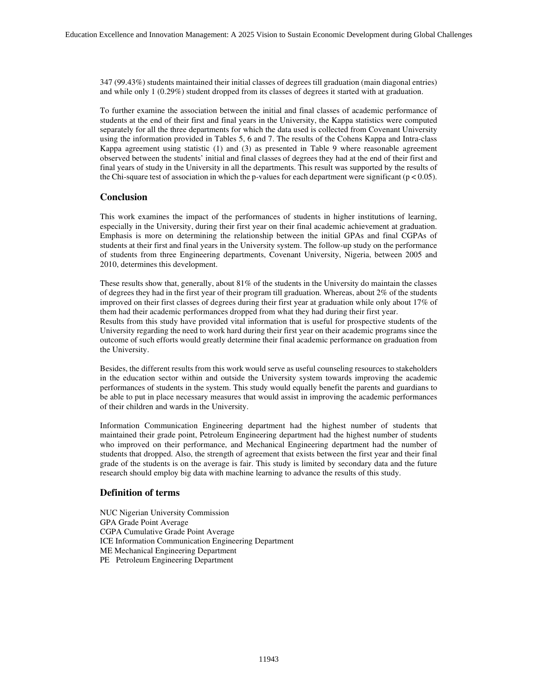347 (99.43%) students maintained their initial classes of degrees till graduation (main diagonal entries) and while only 1 (0.29%) student dropped from its classes of degrees it started with at graduation.

To further examine the association between the initial and final classes of academic performance of students at the end of their first and final years in the University, the Kappa statistics were computed separately for all the three departments for which the data used is collected from Covenant University using the information provided in Tables 5, 6 and 7. The results of the Cohens Kappa and Intra-class Kappa agreement using statistic (1) and (3) as presented in Table 9 where reasonable agreement observed between the students' initial and final classes of degrees they had at the end of their first and final years of study in the University in all the departments. This result was supported by the results of the Chi-square test of association in which the p-values for each department were significant ( $p < 0.05$ ).

## **Conclusion**

This work examines the impact of the performances of students in higher institutions of learning, especially in the University, during their first year on their final academic achievement at graduation. Emphasis is more on determining the relationship between the initial GPAs and final CGPAs of students at their first and final years in the University system. The follow-up study on the performance of students from three Engineering departments, Covenant University, Nigeria, between 2005 and 2010, determines this development.

These results show that, generally, about 81% of the students in the University do maintain the classes of degrees they had in the first year of their program till graduation. Whereas, about 2% of the students improved on their first classes of degrees during their first year at graduation while only about 17% of them had their academic performances dropped from what they had during their first year.

Results from this study have provided vital information that is useful for prospective students of the University regarding the need to work hard during their first year on their academic programs since the outcome of such efforts would greatly determine their final academic performance on graduation from the University.

Besides, the different results from this work would serve as useful counseling resources to stakeholders in the education sector within and outside the University system towards improving the academic performances of students in the system. This study would equally benefit the parents and guardians to be able to put in place necessary measures that would assist in improving the academic performances of their children and wards in the University.

Information Communication Engineering department had the highest number of students that maintained their grade point, Petroleum Engineering department had the highest number of students who improved on their performance, and Mechanical Engineering department had the number of students that dropped. Also, the strength of agreement that exists between the first year and their final grade of the students is on the average is fair. This study is limited by secondary data and the future research should employ big data with machine learning to advance the results of this study.

#### **Definition of terms**

NUC Nigerian University Commission GPA Grade Point Average CGPA Cumulative Grade Point Average ICE Information Communication Engineering Department ME Mechanical Engineering Department PE Petroleum Engineering Department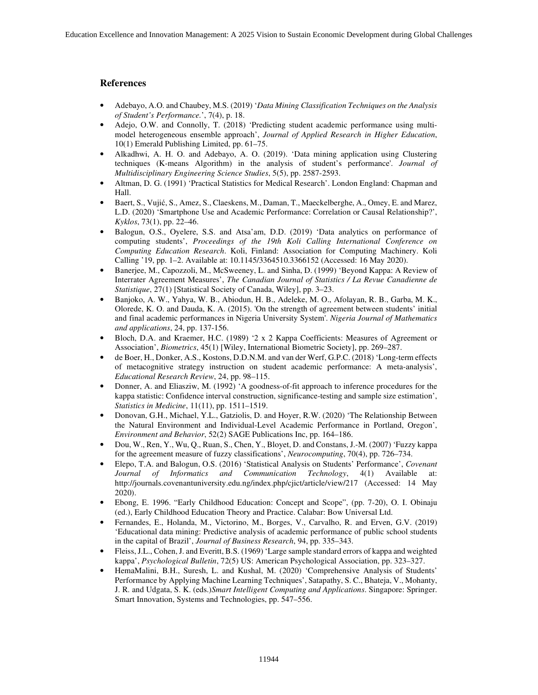# **References**

- Adebayo, A.O. and Chaubey, M.S. (2019) '*Data Mining Classification Techniques on the Analysis of Student's Performance.*', 7(4), p. 18.
- Adejo, O.W. and Connolly, T. (2018) 'Predicting student academic performance using multimodel heterogeneous ensemble approach', *Journal of Applied Research in Higher Education*, 10(1) Emerald Publishing Limited, pp. 61–75.
- Alkadhwi, A. H. O. and Adebayo, A. O. (2019). 'Data mining application using Clustering techniques (K-means Algorithm) in the analysis of student's performance'. *Journal of Multidisciplinary Engineering Science Studies*, 5(5), pp. 2587-2593.
- Altman, D. G. (1991) 'Practical Statistics for Medical Research'. London England: Chapman and Hall.
- Baert, S., Vujić, S., Amez, S., Claeskens, M., Daman, T., Maeckelberghe, A., Omey, E. and Marez, L.D. (2020) 'Smartphone Use and Academic Performance: Correlation or Causal Relationship?', *Kyklos*, 73(1), pp. 22–46.
- Balogun, O.S., Oyelere, S.S. and Atsa'am, D.D. (2019) 'Data analytics on performance of computing students', *Proceedings of the 19th Koli Calling International Conference on Computing Education Research*. Koli, Finland: Association for Computing Machinery. Koli Calling '19, pp. 1–2. Available at: 10.1145/3364510.3366152 (Accessed: 16 May 2020).
- Banerjee, M., Capozzoli, M., McSweeney, L. and Sinha, D. (1999) 'Beyond Kappa: A Review of Interrater Agreement Measures', *The Canadian Journal of Statistics / La Revue Canadienne de Statistique*, 27(1) [Statistical Society of Canada, Wiley], pp. 3–23.
- Banjoko, A. W., Yahya, W. B., Abiodun, H. B., Adeleke, M. O., Afolayan, R. B., Garba, M. K., Olorede, K. O. and Dauda, K. A. (2015). 'On the strength of agreement between students' initial and final academic performances in Nigeria University System'. *Nigeria Journal of Mathematics and applications*, 24, pp. 137-156.
- Bloch, D.A. and Kraemer, H.C. (1989) '2 x 2 Kappa Coefficients: Measures of Agreement or Association', *Biometrics*, 45(1) [Wiley, International Biometric Society], pp. 269–287.
- de Boer, H., Donker, A.S., Kostons, D.D.N.M. and van der Werf, G.P.C. (2018) 'Long-term effects of metacognitive strategy instruction on student academic performance: A meta-analysis', *Educational Research Review*, 24, pp. 98–115.
- Donner, A. and Eliasziw, M. (1992) 'A goodness-of-fit approach to inference procedures for the kappa statistic: Confidence interval construction, significance-testing and sample size estimation', *Statistics in Medicine*, 11(11), pp. 1511–1519.
- Donovan, G.H., Michael, Y.L., Gatziolis, D. and Hoyer, R.W. (2020) 'The Relationship Between the Natural Environment and Individual-Level Academic Performance in Portland, Oregon', *Environment and Behavior*, 52(2) SAGE Publications Inc, pp. 164–186.
- Dou, W., Ren, Y., Wu, Q., Ruan, S., Chen, Y., Bloyet, D. and Constans, J.-M. (2007) 'Fuzzy kappa for the agreement measure of fuzzy classifications', *Neurocomputing*, 70(4), pp. 726–734.
- Elepo, T.A. and Balogun, O.S. (2016) 'Statistical Analysis on Students' Performance', *Covenant Journal of Informatics and Communication Technology*, 4(1) Available at: http://journals.covenantuniversity.edu.ng/index.php/cjict/article/view/217 (Accessed: 14 May 2020).
- Ebong, E. 1996. "Early Childhood Education: Concept and Scope", (pp. 7-20), O. I. Obinaju (ed.), Early Childhood Education Theory and Practice. Calabar: Bow Universal Ltd.
- Fernandes, E., Holanda, M., Victorino, M., Borges, V., Carvalho, R. and Erven, G.V. (2019) 'Educational data mining: Predictive analysis of academic performance of public school students in the capital of Brazil', *Journal of Business Research*, 94, pp. 335–343.
- Fleiss, J.L., Cohen, J. and Everitt, B.S. (1969) 'Large sample standard errors of kappa and weighted kappa', *Psychological Bulletin*, 72(5) US: American Psychological Association, pp. 323–327.
- HemaMalini, B.H., Suresh, L. and Kushal, M. (2020) 'Comprehensive Analysis of Students' Performance by Applying Machine Learning Techniques', Satapathy, S. C., Bhateja, V., Mohanty, J. R. and Udgata, S. K. (eds.)*Smart Intelligent Computing and Applications*. Singapore: Springer. Smart Innovation, Systems and Technologies, pp. 547–556.